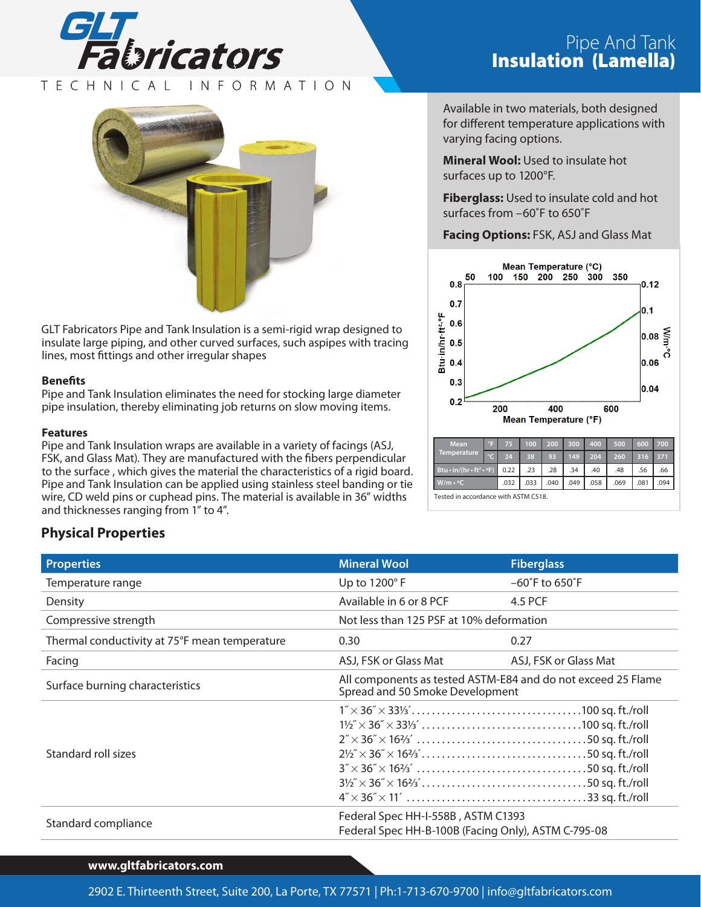

## TECHNICAL INFORMATION



GLT Fabricators Pipe and Tank Insulation is a semi-rigid wrap designed to insulate large piping, and other curved surfaces, such aspipes with tracing lines, most fittings and other irregular shapes

#### **Benefits**

Pipe and Tank Insulation eliminates the need for stocking large diameter pipe insulation, thereby eliminating job returns on slow moving items.

#### **Features**

Pipe and Tank Insulation wraps are available in a variety of facings (ASJ, FSK, and Glass Mat). They are manufactured with the fibers perpendicular to the surface , which gives the material the characteristics of a rigid board. Pipe and Tank Insulation can be applied using stainless steel banding or tie wire, CD weld pins or cuphead pins. The material is available in 36" widths and thicknesses ranging from 1" to 4".

# Pipe And Tank<br>**Insulation (Lamella)**

Available in two materials, both designed for different temperature applications with varying facing options.

**Mineral Wool:** Used to insulate hot surfaces up to 1200°F.

**Fiberglass:** Used to insulate cold and hot surfaces from –60˚F to 650˚F

## **Facing Options:** FSK, ASJ and Glass Mat



Tested in accordance with ASTM C518.

# **Physical Properties**

| <b>Properties</b>                                                                                                | <b>Mineral Wool</b>                                                                                                                                                                                                                                                                       | <b>Fiberglass</b>                  |  |  |
|------------------------------------------------------------------------------------------------------------------|-------------------------------------------------------------------------------------------------------------------------------------------------------------------------------------------------------------------------------------------------------------------------------------------|------------------------------------|--|--|
| Temperature range                                                                                                | Up to 1200°F                                                                                                                                                                                                                                                                              | $-60^{\circ}$ F to $650^{\circ}$ F |  |  |
| Density                                                                                                          | Available in 6 or 8 PCF                                                                                                                                                                                                                                                                   | 4.5 PCF                            |  |  |
| Compressive strength                                                                                             | Not less than 125 PSF at 10% deformation                                                                                                                                                                                                                                                  |                                    |  |  |
| Thermal conductivity at 75°F mean temperature                                                                    | 0.30                                                                                                                                                                                                                                                                                      | 0.27                               |  |  |
| Facing                                                                                                           | ASJ, FSK or Glass Mat                                                                                                                                                                                                                                                                     | ASJ, FSK or Glass Mat              |  |  |
| Surface burning characteristics                                                                                  | All components as tested ASTM-E84 and do not exceed 25 Flame<br>Spread and 50 Smoke Development                                                                                                                                                                                           |                                    |  |  |
| Standard roll sizes                                                                                              | $2\frac{1}{2} \times 36 \times 16 \frac{2}{3} \ldots \ldots \ldots \ldots \ldots \ldots \ldots \ldots \ldots \ldots \ldots 50$ sq. ft./roll<br>$3\frac{1}{2} \times 36 \times 16\frac{1}{3} \ldots \ldots \ldots \ldots \ldots \ldots \ldots \ldots \ldots \ldots \ldots 50$ sq. ft./roll |                                    |  |  |
| Federal Spec HH-I-558B, ASTM C1393<br>Standard compliance<br>Federal Spec HH-B-100B (Facing Only), ASTM C-795-08 |                                                                                                                                                                                                                                                                                           |                                    |  |  |

### **www.gltfabricators.com**